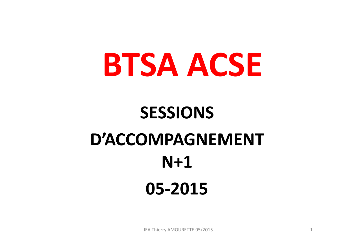# **BTSA ACSE**

## **SESSIONS D'ACCOMPAGNEMENT N+105-2015**

IEA Thierry AMOURETTE 05/2015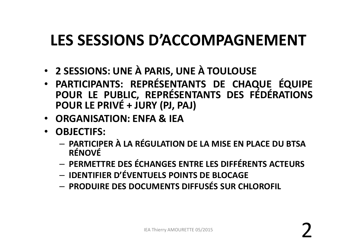#### **LES SESSIONS D'ACCOMPAGNEMENT**

- •**<sup>2</sup> SESSIONS: UNE <sup>À</sup> PARIS, UNE <sup>À</sup> TOULOUSE**
- • **PARTICIPANTS: REPRÉSENTANTS DE CHAQUE ÉQUIPE** POUR LE PUBLIC, REPRÉSENTANTS DES FÉDÉRATIONS<br>POUR LE PRIVÉ + JURY (PJ, PAJ)
- **ORGANISATION: ENFA & IEA**
- **OBJECTIFS:**
	- – **PARTICIPER À LA RÉGULATION DE LA MISE EN PLACE DU BTSA RÉNOVÉ**
	- **PERMETTRE DES ÉCHANGES ENTRE LES DIFFÉRENTS ACTEURS**
	- **IDENTIFIER D'ÉVENTUELS POINTS DE BLOCAGE**
	- **PRODUIRE DES DOCUMENTS DIFFUSÉS SUR CHLOROFIL**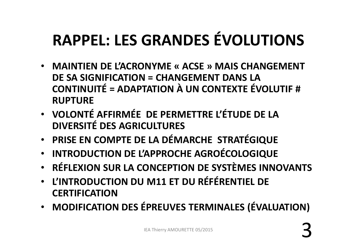#### **RAPPEL: LES GRANDES ÉVOLUTIONS**

- **MAINTIEN DE L'ACRONYME « ACSE » MAIS CHANGEMENT DE SA SIGNIFICATION = CHANGEMENT DANS LA CONTINUITÉ = ADAPTATION À UN CONTEXTE ÉVOLUTIF # RUPTURE**
- • **VOLONTÉ AFFIRMÉE DE PERMETTRE L'ÉTUDE DE LA DIVERSITÉ DES AGRICULTURES**
- •**PRISE EN COMPTE DE LA DÉMARCHE STRATÉGIQUE**
- •**INTRODUCTION DE L'APPROCHE AGROÉCOLOGIQUE**
- •**RÉFLEXION SUR LA CONCEPTION DE SYSTÈMES INNOVANTS**
- • **L'INTRODUCTION DU M11 ET DU RÉFÉRENTIEL DE CERTIFICATION**
- MODIFICATIO **MODIFICATION DES ÉPREUVES TERMINALES (ÉVALUATION)**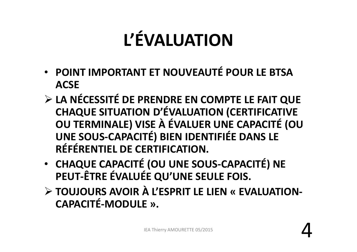## **L'ÉVALUATION**

- • **POINT IMPORTANT ET NOUVEAUTÉ POUR LE BTSAACSE**
- **LA NÉCESSITÉ DE PRENDRE EN COMPTE LE FAIT QUE CHAQUE SITUATION D'ÉVALUATION (CERTIFICATIVE OU TERMINALE) VISE À ÉVALUER UNE CAPACITÉ (OU UNE SOUS-CAPACITÉ) BIEN IDENTIFIÉE DANS LE RÉFÉRENTIEL DE CERTIFICATION.**
- • **CHAQUE CAPACITÉ (OU UNE SOUS-CAPACITÉ) NE PEUT-ÊTRE ÉVALUÉE QU'UNE SEULE FOIS.**
- **TOUJOURS AVOIR À L'ESPRIT LE LIEN « EVALUATION -CAPACITÉ-MODULE ».**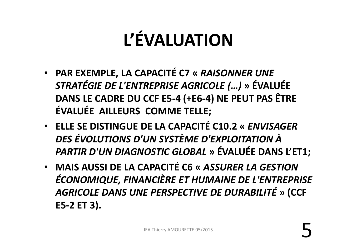## **L'ÉVALUATION**

- • **PAR EXEMPLE, LA CAPACITÉ C7 «** *RAISONNER UNE STRATÉGIE DE L'ENTREPRISE AGRICOLE (…)* **» ÉVALUÉE DANS LE CADRE DU CCF E5-4 (+E6-4) NE PEUT PAS ÊTRE ÉVALUÉE AILLEURS COMME TELLE;**
- • **ELLE SE DISTINGUE DE LA CAPACITÉ C10.2 «** *ENVISAGER DES ÉVOLUTIONS D'UN SYSTÈME D'EXPLOITATION À PARTIR D'UN DIAGNOSTIC GLOBAL* **» ÉVALUÉE DANS L'ET1;**
- • **MAIS AUSSI DE LA CAPACITÉ C6 «** *ASSURER LA GESTION ÉCONOMIQUE, FINANCIÈRE ET HUMAINE DE L'ENTREPRISE AGRICOLE DANS UNE PERSPECTIVE DE DURABILITÉ* **» (CCF E5-2 ET 3).**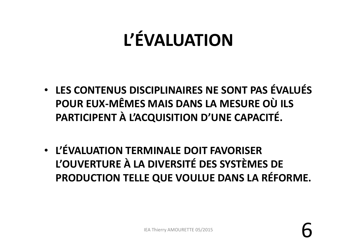#### **L'ÉVALUATION**

- • **LES CONTENUS DISCIPLINAIRES NE SONT PAS ÉVALUÉS POUR EUX-MÊMES MAIS DANS LA MESURE OÙ ILS PARTICIPENT À L'ACQUISITION D'UNE CAPACITÉ.**
- • **L'ÉVALUATION TERMINALE DOIT FAVORISER L'OUVERTURE À LA DIVERSITÉ DES SYSTÈMES DE PRODUCTION TELLE QUE VOULUE DANS LA RÉFORME.**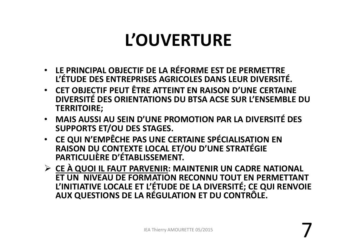#### **L'OUVERTURE**

- • **LE PRINCIPAL OBJECTIF DE LA RÉFORME EST DE PERMETTREL'ÉTUDE DES ENTREPRISES AGRICOLES DANS LEUR DIVERSITÉ.**
- • **CET OBJECTIF PEUT ÊTRE ATTEINT EN RAISON D'UNE CERTAINE DIVERSITÉ DES ORIENTATIONS DU BTSA ACSE SUR L'ENSEMBLE DU TERRITOIRE;**
- • **MAIS AUSSI AU SEIN D'UNE PROMOTION PAR LA DIVERSITÉ DES SUPPORTS ET/OU DES STAGES.**
- • **CE QUI N'EMPÊCHE PAS UNE CERTAINE SPÉCIALISATION ENRAISON DU CONTEXTE LOCAL ET/OU D'UNE STRATÉGIE PARTICULIÈRE D'ÉTABLISSEMENT.**
- **CE À QUOI IL FAUT PARVENIR: MAINTENIR UN CADRE NATIONAL ET UN NIVEAU DE FORMATION RECONNU TOUT EN PERMETTANT** L'INITIATIVE LOCALE ET L'ÉTUDE DE LA DIVERSITÉ; CE QUI RENVOIE<br>AUX QUESTIONS DE LA RÉGULATION ET DU CONTRÔLE.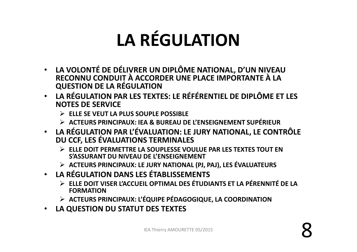## **LA RÉGULATION**

- LA VOLONTÉ DE DÉLIVRER UN DIPLÔME NATIONAL, D'UN NIVEAU RECONNU CONDUIT À ACCORDER UNE PLACE IMPORTANTE À LA **QUESTION DE LA RÉGULATION**
- **LA RÉGULATION PAR LES TEXTES: LE RÉFÉRENTIEL DE DIPLÔME ET LES NOTES DE SERVICE**
	- **ELLE SE VEUT LA PLUS SOUPLE POSSIBLE**
	- **ACTEURS PRINCIPAUX: IEA & BUREAU DE L'ENSEIGNEMENT SUPÉRIEUR**
- **LA RÉGULATION PAR L'ÉVALUATION: LE JURY NATIONAL, LE CONTRÔLE DU CCF, LES ÉVALUATIONS TERMINALES**
	- **ELLE DOIT PERMETTRE LA SOUPLESSE VOULUE PAR LES TEXTES TOUT EN S'ASSURANT DU NIVEAU DE L'ENSEIGNEMENT**
	- **ACTEURS PRINCIPAUX: LE JURY NATIONAL (PJ, PAJ), LES ÉVALUATEURS**
- **LA RÉGULATION DANS LES ÉTABLISSEMENTS**
	- **ELLE DOIT VISER L'ACCUEIL OPTIMAL DES ÉTUDIANTS ET LA PÉRENNITÉ DE LA FORMATION**
	- **ACTEURS PRINCIPAUX: L'ÉQUIPE PÉDAGOGIQUE, LA COORDINATION**
- $\bullet$ **LA QUESTION DU STATUT DES TEXTES**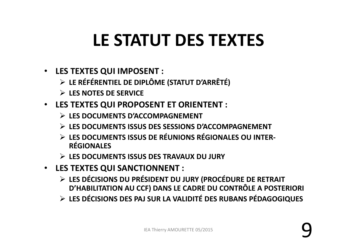#### **LE STATUT DES TEXTES**

- **LES TEXTES QUI IMPOSENT :**
	- **LE RÉFÉRENTIEL DE DIPLÔME (STATUT D'ARRÊTÉ)**
	- **LES NOTES DE SERVICE**
- **LES TEXTES QUI PROPOSENT ET ORIENTENT :** 
	- **LES DOCUMENTS D'ACCOMPAGNEMENT**
	- **LES DOCUMENTS ISSUS DES SESSIONS D'ACCOMPAGNEMENT**
	- **LES DOCUMENTS ISSUS DE RÉUNIONS RÉGIONALES OU INTER -RÉGIONALES**
	- **LES DOCUMENTS ISSUS DES TRAVAUX DU JURY**
- **LES TEXTES QUI SANCTIONNENT :** 
	- **LES DÉCISIONS DU PRÉSIDENT DU JURY (PROCÉDURE DE RETRAIT D'HABILITATION AU CCF) DANS LE CADRE DU CONTRÔLE A POSTERIORI**
	- **LES DÉCISIONS DES PAJ SUR LA VALIDITÉ DES RUBANS PÉDAGOGIQUES**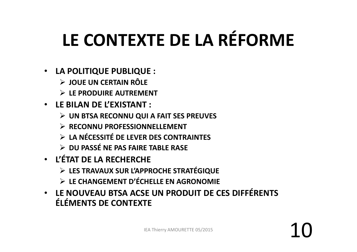## **LE CONTEXTE DE LA RÉFORME**

- **LA POLITIQUE PUBLIQUE :**
	- **JOUE UN CERTAIN RÔLE**
	- **LE PRODUIRE AUTREMENT**
- **LE BILAN DE L'EXISTANT :** 
	- **UN BTSA RECONNU QUI A FAIT SES PREUVES**
	- **RECONNU PROFESSIONNELLEMENT**
	- **LA NÉCESSITÉ DE LEVER DES CONTRAINTES**
	- **DU PASSÉ NE PAS FAIRE TABLE RASE**
- • **L'ÉTAT DE LA RECHERCHE** 
	- **LES TRAVAUX SUR L'APPROCHE STRATÉGIQUE**
	- **LE CHANGEMENT D'ÉCHELLE EN AGRONOMIE**
- • **LE NOUVEAU BTSA ACSE UN PRODUIT DE CES DIFFÉRENTS ÉLÉMENTS DE CONTEXTE**